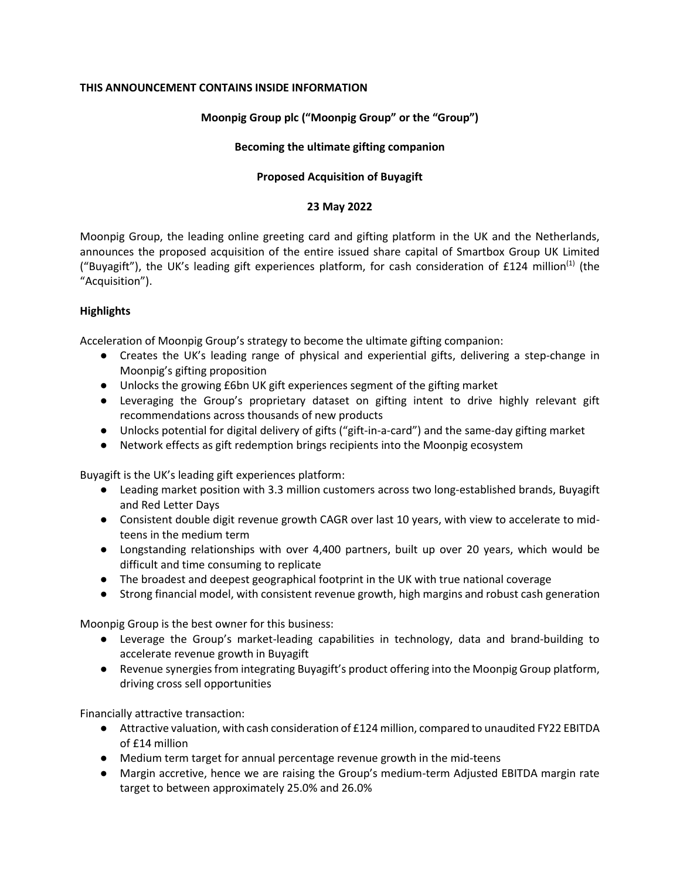# **THIS ANNOUNCEMENT CONTAINS INSIDE INFORMATION**

# **Moonpig Group plc ("Moonpig Group" or the "Group")**

# **Becoming the ultimate gifting companion**

# **Proposed Acquisition of Buyagift**

## **23 May 2022**

Moonpig Group, the leading online greeting card and gifting platform in the UK and the Netherlands, announces the proposed acquisition of the entire issued share capital of Smartbox Group UK Limited ("Buyagift"), the UK's leading gift experiences platform, for cash consideration of £124 million<sup>(1)</sup> (the "Acquisition").

# **Highlights**

Acceleration of Moonpig Group's strategy to become the ultimate gifting companion:

- Creates the UK's leading range of physical and experiential gifts, delivering a step-change in Moonpig's gifting proposition
- Unlocks the growing £6bn UK gift experiences segment of the gifting market
- Leveraging the Group's proprietary dataset on gifting intent to drive highly relevant gift recommendations across thousands of new products
- Unlocks potential for digital delivery of gifts ("gift-in-a-card") and the same-day gifting market
- Network effects as gift redemption brings recipients into the Moonpig ecosystem

Buyagift is the UK's leading gift experiences platform:

- Leading market position with 3.3 million customers across two long-established brands, Buyagift and Red Letter Days
- Consistent double digit revenue growth CAGR over last 10 years, with view to accelerate to midteens in the medium term
- Longstanding relationships with over 4,400 partners, built up over 20 years, which would be difficult and time consuming to replicate
- The broadest and deepest geographical footprint in the UK with true national coverage
- Strong financial model, with consistent revenue growth, high margins and robust cash generation

Moonpig Group is the best owner for this business:

- Leverage the Group's market-leading capabilities in technology, data and brand-building to accelerate revenue growth in Buyagift
- Revenue synergies from integrating Buyagift's product offering into the Moonpig Group platform, driving cross sell opportunities

Financially attractive transaction:

- Attractive valuation, with cash consideration of £124 million, compared to unaudited FY22 EBITDA of £14 million
- Medium term target for annual percentage revenue growth in the mid-teens
- Margin accretive, hence we are raising the Group's medium-term Adjusted EBITDA margin rate target to between approximately 25.0% and 26.0%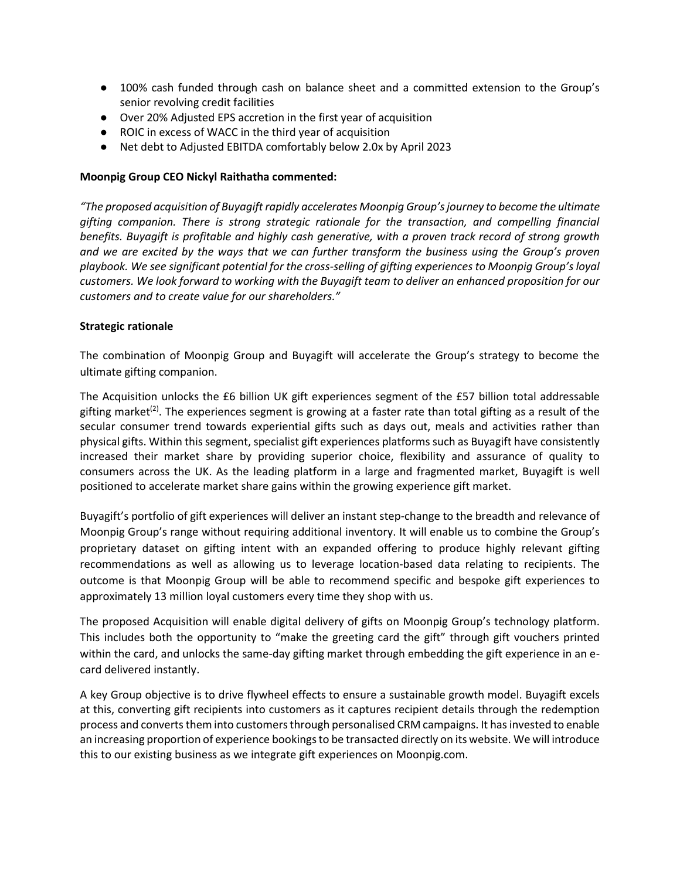- 100% cash funded through cash on balance sheet and a committed extension to the Group's senior revolving credit facilities
- Over 20% Adjusted EPS accretion in the first year of acquisition
- ROIC in excess of WACC in the third year of acquisition
- Net debt to Adjusted EBITDA comfortably below 2.0x by April 2023

## **Moonpig Group CEO Nickyl Raithatha commented:**

*"The proposed acquisition of Buyagift rapidly accelerates Moonpig Group's journey to become the ultimate gifting companion. There is strong strategic rationale for the transaction, and compelling financial benefits. Buyagift is profitable and highly cash generative, with a proven track record of strong growth and we are excited by the ways that we can further transform the business using the Group's proven playbook. We see significant potential for the cross-selling of gifting experiences to Moonpig Group's loyal customers. We look forward to working with the Buyagift team to deliver an enhanced proposition for our customers and to create value for our shareholders."*

### **Strategic rationale**

The combination of Moonpig Group and Buyagift will accelerate the Group's strategy to become the ultimate gifting companion.

The Acquisition unlocks the £6 billion UK gift experiences segment of the £57 billion total addressable gifting market<sup>(2)</sup>. The experiences segment is growing at a faster rate than total gifting as a result of the secular consumer trend towards experiential gifts such as days out, meals and activities rather than physical gifts. Within this segment, specialist gift experiences platforms such as Buyagift have consistently increased their market share by providing superior choice, flexibility and assurance of quality to consumers across the UK. As the leading platform in a large and fragmented market, Buyagift is well positioned to accelerate market share gains within the growing experience gift market.

Buyagift's portfolio of gift experiences will deliver an instant step-change to the breadth and relevance of Moonpig Group's range without requiring additional inventory. It will enable us to combine the Group's proprietary dataset on gifting intent with an expanded offering to produce highly relevant gifting recommendations as well as allowing us to leverage location-based data relating to recipients. The outcome is that Moonpig Group will be able to recommend specific and bespoke gift experiences to approximately 13 million loyal customers every time they shop with us.

The proposed Acquisition will enable digital delivery of gifts on Moonpig Group's technology platform. This includes both the opportunity to "make the greeting card the gift" through gift vouchers printed within the card, and unlocks the same-day gifting market through embedding the gift experience in an ecard delivered instantly.

A key Group objective is to drive flywheel effects to ensure a sustainable growth model. Buyagift excels at this, converting gift recipients into customers as it captures recipient details through the redemption process and converts them into customers through personalised CRM campaigns. It has invested to enable an increasing proportion of experience bookings to be transacted directly on its website. We will introduce this to our existing business as we integrate gift experiences on Moonpig.com.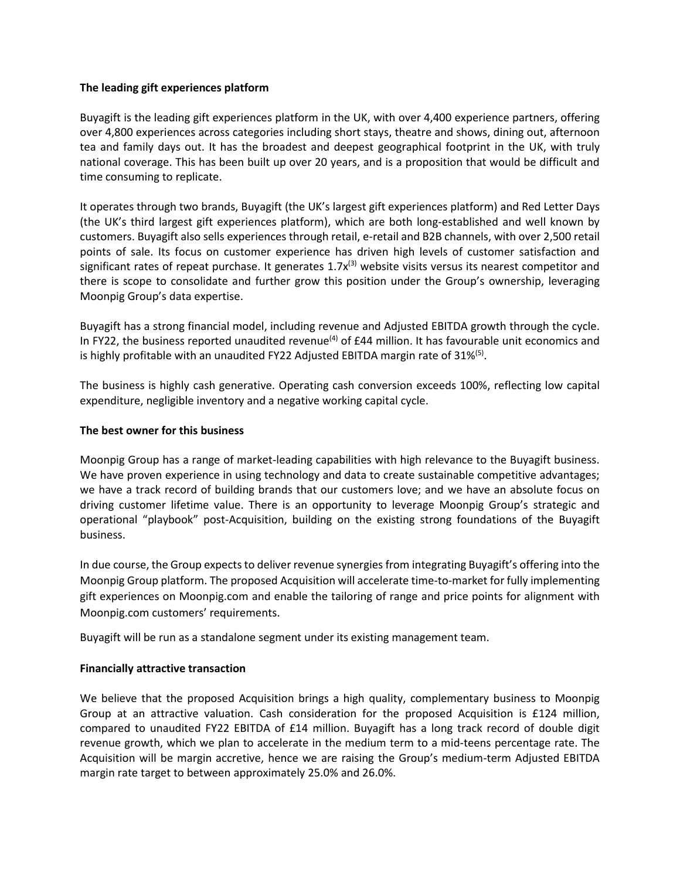## **The leading gift experiences platform**

Buyagift is the leading gift experiences platform in the UK, with over 4,400 experience partners, offering over 4,800 experiences across categories including short stays, theatre and shows, dining out, afternoon tea and family days out. It has the broadest and deepest geographical footprint in the UK, with truly national coverage. This has been built up over 20 years, and is a proposition that would be difficult and time consuming to replicate.

It operates through two brands, Buyagift (the UK's largest gift experiences platform) and Red Letter Days (the UK's third largest gift experiences platform), which are both long-established and well known by customers. Buyagift also sells experiences through retail, e-retail and B2B channels, with over 2,500 retail points of sale. Its focus on customer experience has driven high levels of customer satisfaction and significant rates of repeat purchase. It generates  $1.7x^{(3)}$  website visits versus its nearest competitor and there is scope to consolidate and further grow this position under the Group's ownership, leveraging Moonpig Group's data expertise.

Buyagift has a strong financial model, including revenue and Adjusted EBITDA growth through the cycle. In FY22, the business reported unaudited revenue<sup>(4)</sup> of £44 million. It has favourable unit economics and is highly profitable with an unaudited FY22 Adjusted EBITDA margin rate of 31%<sup>(5)</sup>.

The business is highly cash generative. Operating cash conversion exceeds 100%, reflecting low capital expenditure, negligible inventory and a negative working capital cycle.

### **The best owner for this business**

Moonpig Group has a range of market-leading capabilities with high relevance to the Buyagift business. We have proven experience in using technology and data to create sustainable competitive advantages; we have a track record of building brands that our customers love; and we have an absolute focus on driving customer lifetime value. There is an opportunity to leverage Moonpig Group's strategic and operational "playbook" post-Acquisition, building on the existing strong foundations of the Buyagift business.

In due course, the Group expects to deliver revenue synergies from integrating Buyagift's offering into the Moonpig Group platform. The proposed Acquisition will accelerate time-to-market for fully implementing gift experiences on Moonpig.com and enable the tailoring of range and price points for alignment with Moonpig.com customers' requirements.

Buyagift will be run as a standalone segment under its existing management team.

#### **Financially attractive transaction**

We believe that the proposed Acquisition brings a high quality, complementary business to Moonpig Group at an attractive valuation. Cash consideration for the proposed Acquisition is £124 million, compared to unaudited FY22 EBITDA of £14 million. Buyagift has a long track record of double digit revenue growth, which we plan to accelerate in the medium term to a mid-teens percentage rate. The Acquisition will be margin accretive, hence we are raising the Group's medium-term Adjusted EBITDA margin rate target to between approximately 25.0% and 26.0%.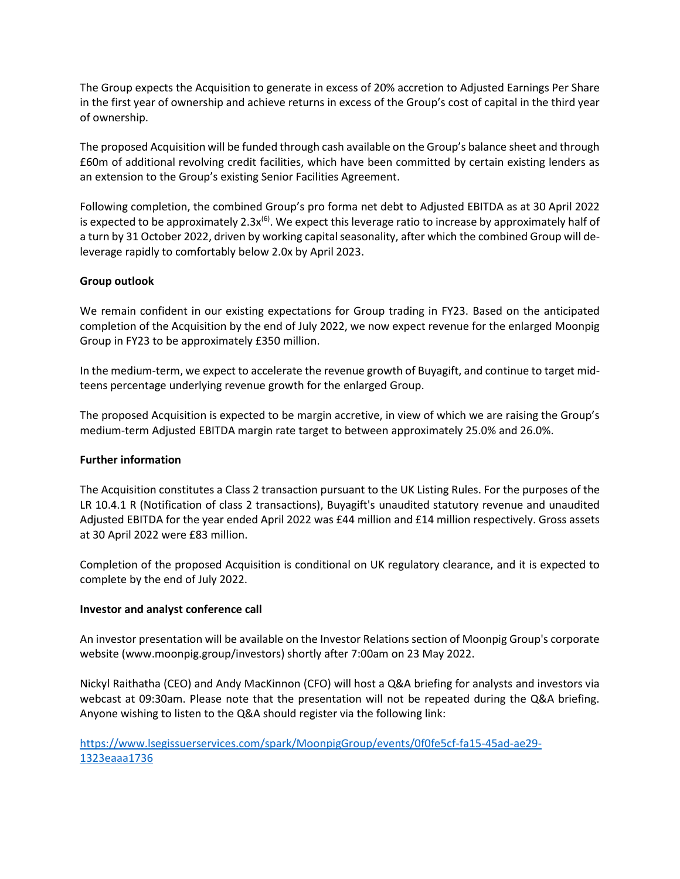The Group expects the Acquisition to generate in excess of 20% accretion to Adjusted Earnings Per Share in the first year of ownership and achieve returns in excess of the Group's cost of capital in the third year of ownership.

The proposed Acquisition will be funded through cash available on the Group's balance sheet and through £60m of additional revolving credit facilities, which have been committed by certain existing lenders as an extension to the Group's existing Senior Facilities Agreement.

Following completion, the combined Group's pro forma net debt to Adjusted EBITDA as at 30 April 2022 is expected to be approximately 2.3x<sup>(6)</sup>. We expect this leverage ratio to increase by approximately half of a turn by 31 October 2022, driven by working capital seasonality, after which the combined Group will deleverage rapidly to comfortably below 2.0x by April 2023.

# **Group outlook**

We remain confident in our existing expectations for Group trading in FY23. Based on the anticipated completion of the Acquisition by the end of July 2022, we now expect revenue for the enlarged Moonpig Group in FY23 to be approximately £350 million.

In the medium-term, we expect to accelerate the revenue growth of Buyagift, and continue to target midteens percentage underlying revenue growth for the enlarged Group.

The proposed Acquisition is expected to be margin accretive, in view of which we are raising the Group's medium-term Adjusted EBITDA margin rate target to between approximately 25.0% and 26.0%.

## **Further information**

The Acquisition constitutes a Class 2 transaction pursuant to the UK Listing Rules. For the purposes of the LR 10.4.1 R (Notification of class 2 transactions), Buyagift's unaudited statutory revenue and unaudited Adjusted EBITDA for the year ended April 2022 was £44 million and £14 million respectively. Gross assets at 30 April 2022 were £83 million.

Completion of the proposed Acquisition is conditional on UK regulatory clearance, and it is expected to complete by the end of July 2022.

## **Investor and analyst conference call**

An investor presentation will be available on the Investor Relations section of Moonpig Group's corporate website (www.moonpig.group/investors) shortly after 7:00am on 23 May 2022.

Nickyl Raithatha (CEO) and Andy MacKinnon (CFO) will host a Q&A briefing for analysts and investors via webcast at 09:30am. Please note that the presentation will not be repeated during the Q&A briefing. Anyone wishing to listen to the Q&A should register via the following link:

[https://www.lsegissuerservices.com/spark/MoonpigGroup/events/0f0fe5cf-fa15-45ad-ae29-](https://www.lsegissuerservices.com/spark/MoonpigGroup/events/0f0fe5cf-fa15-45ad-ae29-1323eaaa1736) [1323eaaa1736](https://www.lsegissuerservices.com/spark/MoonpigGroup/events/0f0fe5cf-fa15-45ad-ae29-1323eaaa1736)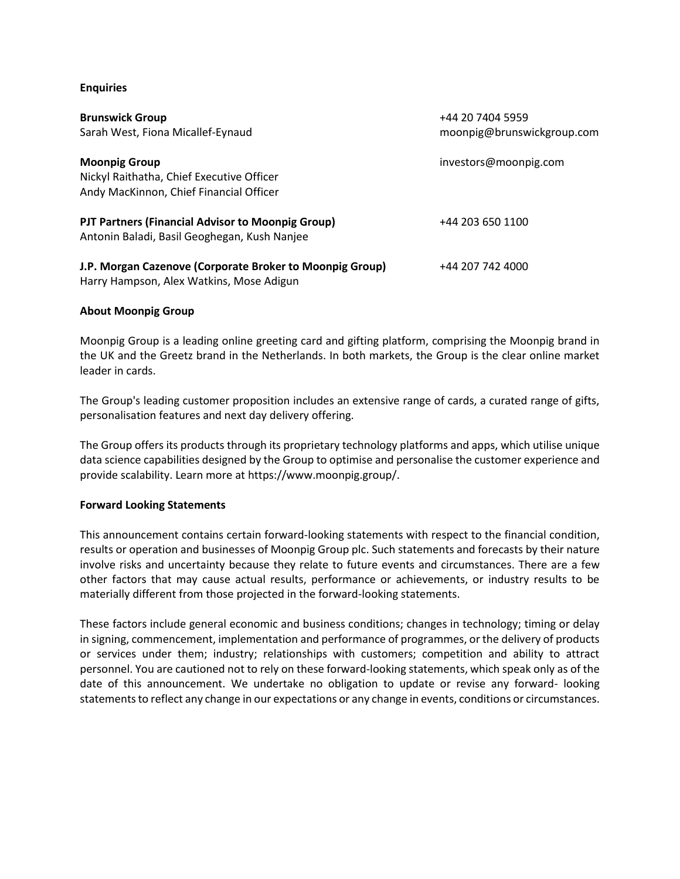### **Enquiries**

| <b>Brunswick Group</b><br>Sarah West, Fiona Micallef-Eynaud                                                  | +44 20 7404 5959<br>moonpig@brunswickgroup.com |
|--------------------------------------------------------------------------------------------------------------|------------------------------------------------|
| <b>Moonpig Group</b><br>Nickyl Raithatha, Chief Executive Officer<br>Andy MacKinnon, Chief Financial Officer | investors@moonpig.com                          |
| PJT Partners (Financial Advisor to Moonpig Group)<br>Antonin Baladi, Basil Geoghegan, Kush Nanjee            | +44 203 650 1100                               |
| J.P. Morgan Cazenove (Corporate Broker to Moonpig Group)<br>Harry Hampson, Alex Watkins, Mose Adigun         | +44 207 742 4000                               |

### **About Moonpig Group**

Moonpig Group is a leading online greeting card and gifting platform, comprising the Moonpig brand in the UK and the Greetz brand in the Netherlands. In both markets, the Group is the clear online market leader in cards.

The Group's leading customer proposition includes an extensive range of cards, a curated range of gifts, personalisation features and next day delivery offering.

The Group offers its products through its proprietary technology platforms and apps, which utilise unique data science capabilities designed by the Group to optimise and personalise the customer experience and provide scalability. Learn more at https://www.moonpig.group/.

#### **Forward Looking Statements**

This announcement contains certain forward-looking statements with respect to the financial condition, results or operation and businesses of Moonpig Group plc. Such statements and forecasts by their nature involve risks and uncertainty because they relate to future events and circumstances. There are a few other factors that may cause actual results, performance or achievements, or industry results to be materially different from those projected in the forward-looking statements.

These factors include general economic and business conditions; changes in technology; timing or delay in signing, commencement, implementation and performance of programmes, or the delivery of products or services under them; industry; relationships with customers; competition and ability to attract personnel. You are cautioned not to rely on these forward-looking statements, which speak only as of the date of this announcement. We undertake no obligation to update or revise any forward- looking statements to reflect any change in our expectations or any change in events, conditions or circumstances.